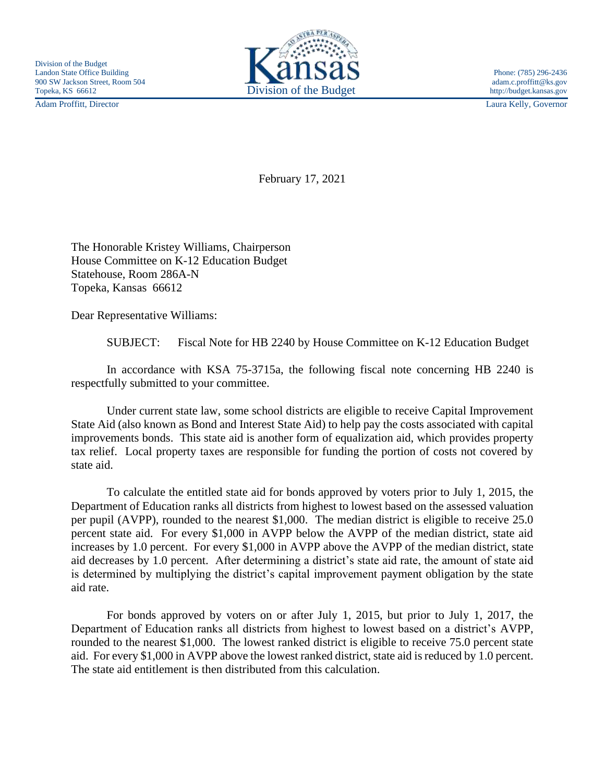Adam Proffitt, Director Laura Kelly, Governor



February 17, 2021

The Honorable Kristey Williams, Chairperson House Committee on K-12 Education Budget Statehouse, Room 286A-N Topeka, Kansas 66612

Dear Representative Williams:

SUBJECT: Fiscal Note for HB 2240 by House Committee on K-12 Education Budget

In accordance with KSA 75-3715a, the following fiscal note concerning HB 2240 is respectfully submitted to your committee.

Under current state law, some school districts are eligible to receive Capital Improvement State Aid (also known as Bond and Interest State Aid) to help pay the costs associated with capital improvements bonds. This state aid is another form of equalization aid, which provides property tax relief. Local property taxes are responsible for funding the portion of costs not covered by state aid.

To calculate the entitled state aid for bonds approved by voters prior to July 1, 2015, the Department of Education ranks all districts from highest to lowest based on the assessed valuation per pupil (AVPP), rounded to the nearest \$1,000. The median district is eligible to receive 25.0 percent state aid. For every \$1,000 in AVPP below the AVPP of the median district, state aid increases by 1.0 percent. For every \$1,000 in AVPP above the AVPP of the median district, state aid decreases by 1.0 percent. After determining a district's state aid rate, the amount of state aid is determined by multiplying the district's capital improvement payment obligation by the state aid rate.

For bonds approved by voters on or after July 1, 2015, but prior to July 1, 2017, the Department of Education ranks all districts from highest to lowest based on a district's AVPP, rounded to the nearest \$1,000. The lowest ranked district is eligible to receive 75.0 percent state aid. For every \$1,000 in AVPP above the lowest ranked district, state aid is reduced by 1.0 percent. The state aid entitlement is then distributed from this calculation.